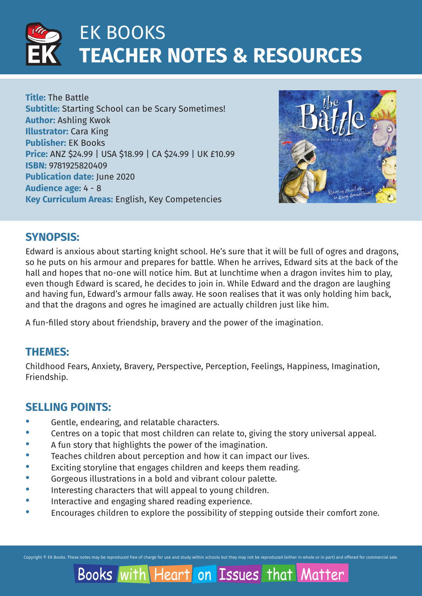

**Title:** The Battle **Subtitle:** Starting School can be Scary Sometimes! **Author:** Ashling Kwok **Illustrator:** Cara King **Publisher:** EK Books **Price:** ANZ \$24.99 | USA \$18.99 | CA \$24.99 | UK £10.99 **ISBN:** 9781925820409 **Publication date:** June 2020 **Audience age:** 4 - 8 **Key Curriculum Areas:** English, Key Competencies



Matter

### **SYNOPSIS:**

Edward is anxious about starting knight school. He's sure that it will be full of ogres and dragons, so he puts on his armour and prepares for battle. When he arrives, Edward sits at the back of the hall and hopes that no-one will notice him. But at lunchtime when a dragon invites him to play, even though Edward is scared, he decides to join in. While Edward and the dragon are laughing and having fun, Edward's armour falls away. He soon realises that it was only holding him back, and that the dragons and ogres he imagined are actually children just like him.

A fun-filled story about friendship, bravery and the power of the imagination.

### **THEMES:**

Childhood Fears, Anxiety, Bravery, Perspective, Perception, Feelings, Happiness, Imagination, Friendship.

### **SELLING POINTS:**

- Gentle, endearing, and relatable characters.
- Centres on a topic that most children can relate to, giving the story universal appeal.
- A fun story that highlights the power of the imagination.
- Teaches children about perception and how it can impact our lives.
- Exciting storyline that engages children and keeps them reading.
- · Gorgeous illustrations in a bold and vibrant colour palette.
- Interesting characters that will appeal to young children.
- Interactive and engaging shared reading experience.
- · Encourages children to explore the possibility of stepping outside their comfort zone.

Copyright © EK Books. These notes may be reproduced free of charge for use and study within schools but they may not be reproduced (either in whole or in part) and offered for commercial sale

on Issues that Books with Heart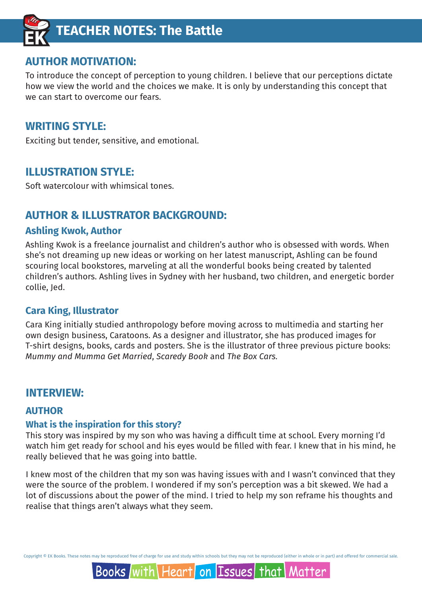

### **AUTHOR MOTIVATION:**

To introduce the concept of perception to young children. I believe that our perceptions dictate how we view the world and the choices we make. It is only by understanding this concept that we can start to overcome our fears.

### **WRITING STYLE:**

Exciting but tender, sensitive, and emotional.

### **ILLUSTRATION STYLE:**

Soft watercolour with whimsical tones.

### **AUTHOR & ILLUSTRATOR BACKGROUND:**

### **Ashling Kwok, Author**

Ashling Kwok is a freelance journalist and children's author who is obsessed with words. When she's not dreaming up new ideas or working on her latest manuscript, Ashling can be found scouring local bookstores, marveling at all the wonderful books being created by talented children's authors. Ashling lives in Sydney with her husband, two children, and energetic border collie, Jed.

### **Cara King, Illustrator**

Cara King initially studied anthropology before moving across to multimedia and starting her own design business, Caratoons. As a designer and illustrator, she has produced images for T-shirt designs, books, cards and posters. She is the illustrator of three previous picture books: *Mummy and Mumma Get Married*, *Scaredy Book* and *The Box Cars.*

### **INTERVIEW:**

### **AUTHOR**

#### **What is the inspiration for this story?**

This story was inspired by my son who was having a difficult time at school. Every morning I'd watch him get ready for school and his eyes would be filled with fear. I knew that in his mind, he really believed that he was going into battle.

I knew most of the children that my son was having issues with and I wasn't convinced that they were the source of the problem. I wondered if my son's perception was a bit skewed. We had a lot of discussions about the power of the mind. I tried to help my son reframe his thoughts and realise that things aren't always what they seem.

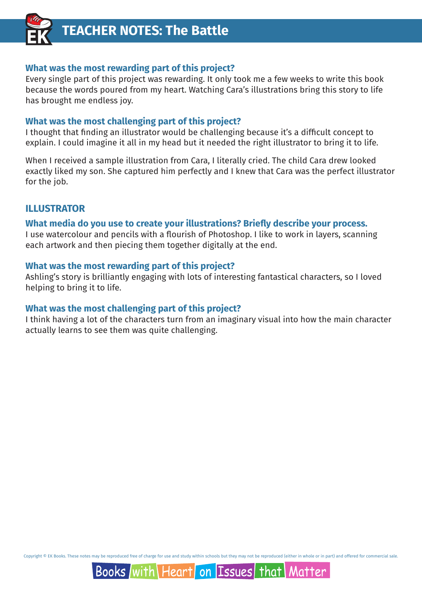

#### **What was the most rewarding part of this project?**

Every single part of this project was rewarding. It only took me a few weeks to write this book because the words poured from my heart. Watching Cara's illustrations bring this story to life has brought me endless joy.

#### **What was the most challenging part of this project?**

I thought that finding an illustrator would be challenging because it's a difficult concept to explain. I could imagine it all in my head but it needed the right illustrator to bring it to life.

When I received a sample illustration from Cara, I literally cried. The child Cara drew looked exactly liked my son. She captured him perfectly and I knew that Cara was the perfect illustrator for the job.

### **ILLUSTRATOR**

#### **What media do you use to create your illustrations? Briefly describe your process.**

I use watercolour and pencils with a flourish of Photoshop. I like to work in layers, scanning each artwork and then piecing them together digitally at the end.

#### **What was the most rewarding part of this project?**

Ashling's story is brilliantly engaging with lots of interesting fantastical characters, so I loved helping to bring it to life.

#### **What was the most challenging part of this project?**

I think having a lot of the characters turn from an imaginary visual into how the main character actually learns to see them was quite challenging.

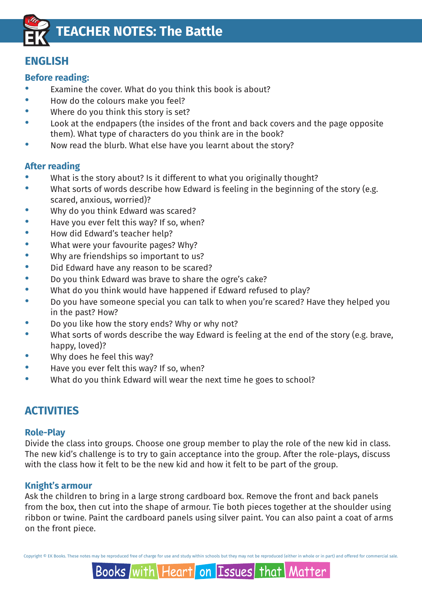

### **ENGLISH**

### **Before reading:**

- Examine the cover. What do you think this book is about?
- How do the colours make you feel?
- Where do you think this story is set?
- Look at the endpapers (the insides of the front and back covers and the page opposite them). What type of characters do you think are in the book?
- · Now read the blurb. What else have you learnt about the story?

### **After reading**

- What is the story about? Is it different to what you originally thought?
- · What sorts of words describe how Edward is feeling in the beginning of the story (e.g. scared, anxious, worried)?
- Why do you think Edward was scared?
- Have you ever felt this way? If so, when?
- · How did Edward's teacher help?
- What were your favourite pages? Why?
- Why are friendships so important to us?
- · Did Edward have any reason to be scared?
- · Do you think Edward was brave to share the ogre's cake?
- What do you think would have happened if Edward refused to play?
- · Do you have someone special you can talk to when you're scared? Have they helped you in the past? How?
- Do you like how the story ends? Why or why not?
- What sorts of words describe the way Edward is feeling at the end of the story (e.g. brave, happy, loved)?
- Why does he feel this way?
- Have you ever felt this way? If so, when?
- · What do you think Edward will wear the next time he goes to school?

### **ACTIVITIES**

### **Role-Play**

Divide the class into groups. Choose one group member to play the role of the new kid in class. The new kid's challenge is to try to gain acceptance into the group. After the role-plays, discuss with the class how it felt to be the new kid and how it felt to be part of the group.

### **Knight's armour**

Ask the children to bring in a large strong cardboard box. Remove the front and back panels from the box, then cut into the shape of armour. Tie both pieces together at the shoulder using ribbon or twine. Paint the cardboard panels using silver paint. You can also paint a coat of arms on the front piece.

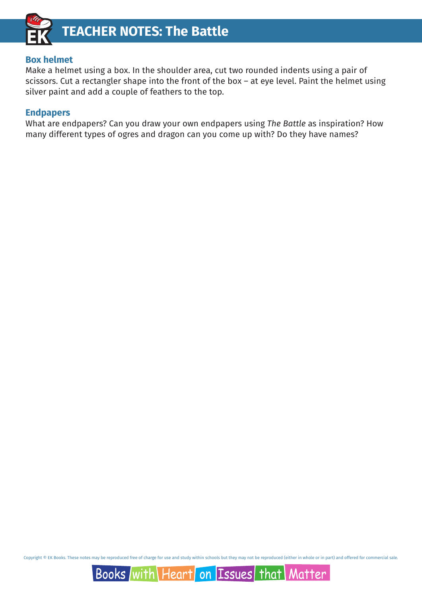

#### **Box helmet**

Make a helmet using a box. In the shoulder area, cut two rounded indents using a pair of scissors. Cut a rectangler shape into the front of the box – at eye level. Paint the helmet using silver paint and add a couple of feathers to the top.

#### **Endpapers**

What are endpapers? Can you draw your own endpapers using *The Battle* as inspiration? How many different types of ogres and dragon can you come up with? Do they have names?